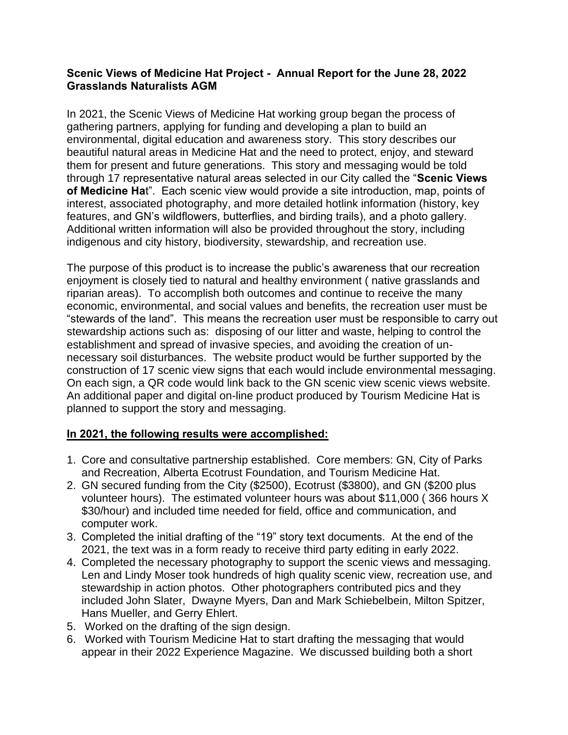## **Scenic Views of Medicine Hat Project - Annual Report for the June 28, 2022 Grasslands Naturalists AGM**

In 2021, the Scenic Views of Medicine Hat working group began the process of gathering partners, applying for funding and developing a plan to build an environmental, digital education and awareness story. This story describes our beautiful natural areas in Medicine Hat and the need to protect, enjoy, and steward them for present and future generations. This story and messaging would be told through 17 representative natural areas selected in our City called the "**Scenic Views of Medicine Ha**t". Each scenic view would provide a site introduction, map, points of interest, associated photography, and more detailed hotlink information (history, key features, and GN's wildflowers, butterflies, and birding trails), and a photo gallery. Additional written information will also be provided throughout the story, including indigenous and city history, biodiversity, stewardship, and recreation use.

The purpose of this product is to increase the public's awareness that our recreation enjoyment is closely tied to natural and healthy environment ( native grasslands and riparian areas). To accomplish both outcomes and continue to receive the many economic, environmental, and social values and benefits, the recreation user must be "stewards of the land". This means the recreation user must be responsible to carry out stewardship actions such as: disposing of our litter and waste, helping to control the establishment and spread of invasive species, and avoiding the creation of unnecessary soil disturbances. The website product would be further supported by the construction of 17 scenic view signs that each would include environmental messaging. On each sign, a QR code would link back to the GN scenic view scenic views website. An additional paper and digital on-line product produced by Tourism Medicine Hat is planned to support the story and messaging.

## **In 2021, the following results were accomplished:**

- 1. Core and consultative partnership established. Core members: GN, City of Parks and Recreation, Alberta Ecotrust Foundation, and Tourism Medicine Hat.
- 2. GN secured funding from the City (\$2500), Ecotrust (\$3800), and GN (\$200 plus volunteer hours). The estimated volunteer hours was about \$11,000 ( 366 hours X \$30/hour) and included time needed for field, office and communication, and computer work.
- 3. Completed the initial drafting of the "19" story text documents. At the end of the 2021, the text was in a form ready to receive third party editing in early 2022.
- 4. Completed the necessary photography to support the scenic views and messaging. Len and Lindy Moser took hundreds of high quality scenic view, recreation use, and stewardship in action photos. Other photographers contributed pics and they included John Slater, Dwayne Myers, Dan and Mark Schiebelbein, Milton Spitzer, Hans Mueller, and Gerry Ehlert.
- 5. Worked on the drafting of the sign design.
- 6. Worked with Tourism Medicine Hat to start drafting the messaging that would appear in their 2022 Experience Magazine. We discussed building both a short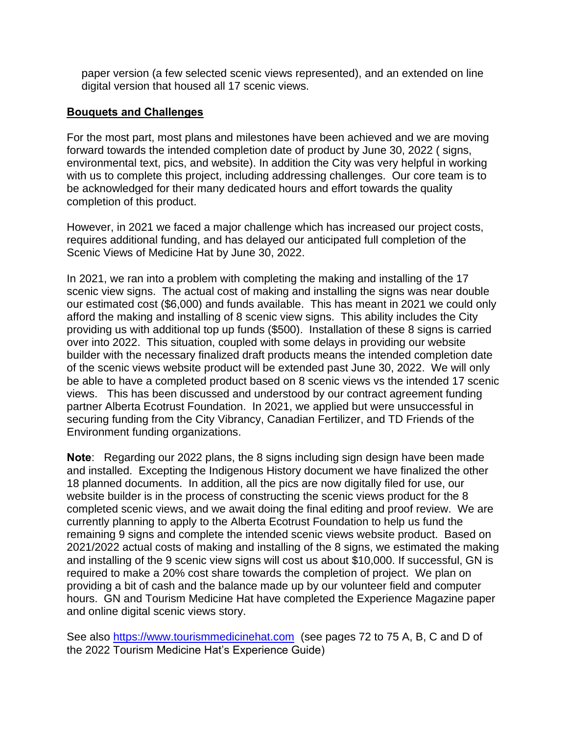paper version (a few selected scenic views represented), and an extended on line digital version that housed all 17 scenic views.

## **Bouquets and Challenges**

For the most part, most plans and milestones have been achieved and we are moving forward towards the intended completion date of product by June 30, 2022 ( signs, environmental text, pics, and website). In addition the City was very helpful in working with us to complete this project, including addressing challenges. Our core team is to be acknowledged for their many dedicated hours and effort towards the quality completion of this product.

However, in 2021 we faced a major challenge which has increased our project costs, requires additional funding, and has delayed our anticipated full completion of the Scenic Views of Medicine Hat by June 30, 2022.

In 2021, we ran into a problem with completing the making and installing of the 17 scenic view signs. The actual cost of making and installing the signs was near double our estimated cost (\$6,000) and funds available. This has meant in 2021 we could only afford the making and installing of 8 scenic view signs. This ability includes the City providing us with additional top up funds (\$500). Installation of these 8 signs is carried over into 2022. This situation, coupled with some delays in providing our website builder with the necessary finalized draft products means the intended completion date of the scenic views website product will be extended past June 30, 2022. We will only be able to have a completed product based on 8 scenic views vs the intended 17 scenic views. This has been discussed and understood by our contract agreement funding partner Alberta Ecotrust Foundation. In 2021, we applied but were unsuccessful in securing funding from the City Vibrancy, Canadian Fertilizer, and TD Friends of the Environment funding organizations.

**Note**: Regarding our 2022 plans, the 8 signs including sign design have been made and installed. Excepting the Indigenous History document we have finalized the other 18 planned documents. In addition, all the pics are now digitally filed for use, our website builder is in the process of constructing the scenic views product for the 8 completed scenic views, and we await doing the final editing and proof review. We are currently planning to apply to the Alberta Ecotrust Foundation to help us fund the remaining 9 signs and complete the intended scenic views website product. Based on 2021/2022 actual costs of making and installing of the 8 signs, we estimated the making and installing of the 9 scenic view signs will cost us about \$10,000. If successful, GN is required to make a 20% cost share towards the completion of project. We plan on providing a bit of cash and the balance made up by our volunteer field and computer hours. GN and Tourism Medicine Hat have completed the Experience Magazine paper and online digital scenic views story.

See also [https://www.tourismmedicinehat.com](https://www.tourismmedicinehat.com/) (see pages 72 to 75 A, B, C and D of the 2022 Tourism Medicine Hat's Experience Guide)